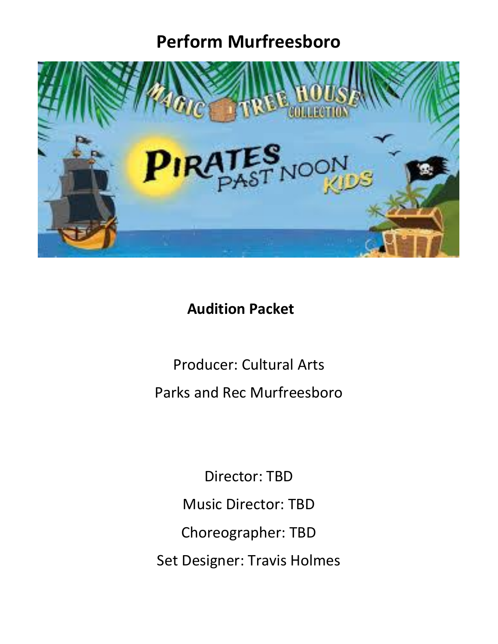# **Perform Murfreesboro**



# **Audition Packet**

Producer: Cultural Arts Parks and Rec Murfreesboro

Director: TBD Music Director: TBD Choreographer: TBD Set Designer: Travis Holmes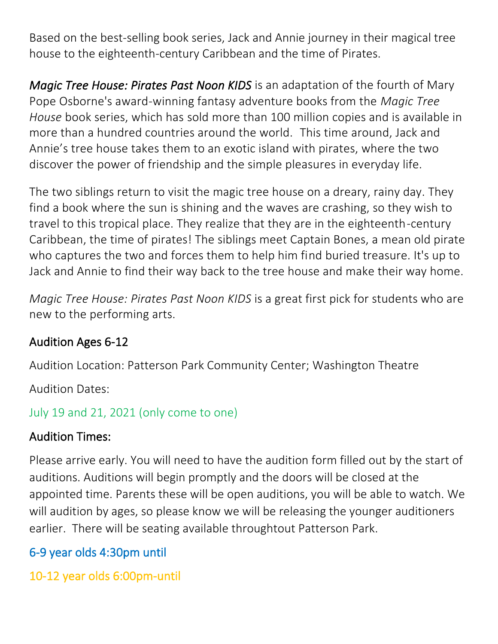Based on the best-selling book series, Jack and Annie journey in their magical tree house to the eighteenth-century Caribbean and the time of Pirates.

*Magic Tree House: Pirates Past Noon KIDS* is an adaptation of the fourth of Mary Pope Osborne's award-winning fantasy adventure books from the *Magic Tree House* book series, which has sold more than 100 million copies and is available in more than a hundred countries around the world. This time around, Jack and Annie's tree house takes them to an exotic island with pirates, where the two discover the power of friendship and the simple pleasures in everyday life.

The two siblings return to visit the magic tree house on a dreary, rainy day. They find a book where the sun is shining and the waves are crashing, so they wish to travel to this tropical place. They realize that they are in the eighteenth-century Caribbean, the time of pirates! The siblings meet Captain Bones, a mean old pirate who captures the two and forces them to help him find buried treasure. It's up to Jack and Annie to find their way back to the tree house and make their way home.

*Magic Tree House: Pirates Past Noon KIDS* is a great first pick for students who are new to the performing arts.

#### Audition Ages 6-12

Audition Location: Patterson Park Community Center; Washington Theatre

Audition Dates:

```
July 19 and 21, 2021 (only come to one)
```
### Audition Times:

Please arrive early. You will need to have the audition form filled out by the start of auditions. Auditions will begin promptly and the doors will be closed at the appointed time. Parents these will be open auditions, you will be able to watch. We will audition by ages, so please know we will be releasing the younger auditioners earlier. There will be seating available throughtout Patterson Park.

# 6-9 year olds 4:30pm until

10-12 year olds 6:00pm-until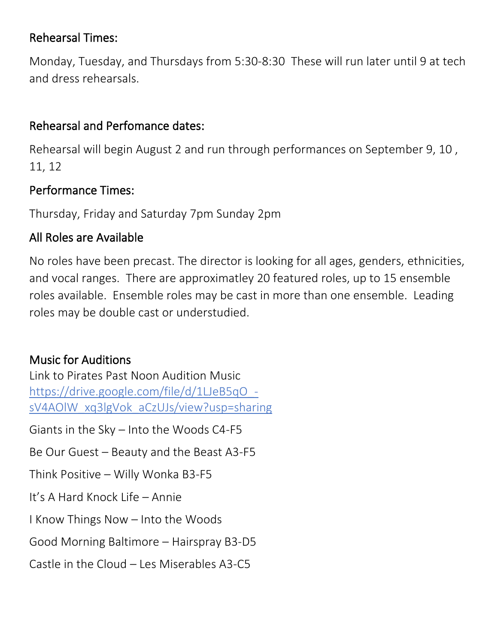#### Rehearsal Times:

Monday, Tuesday, and Thursdays from 5:30-8:30 These will run later until 9 at tech and dress rehearsals.

### Rehearsal and Perfomance dates:

Rehearsal will begin August 2 and run through performances on September 9, 10 , 11, 12

### Performance Times:

Thursday, Friday and Saturday 7pm Sunday 2pm

### All Roles are Available

No roles have been precast. The director is looking for all ages, genders, ethnicities, and vocal ranges. There are approximatley 20 featured roles, up to 15 ensemble roles available. Ensemble roles may be cast in more than one ensemble. Leading roles may be double cast or understudied.

# Music for Auditions

Link to Pirates Past Noon Audition Music [https://drive.google.com/file/d/1LJeB5qO\\_](https://nam11.safelinks.protection.outlook.com/?url=https%3A%2F%2Fdrive.google.com%2Ffile%2Fd%2F1LJeB5qO_-sV4AOlW_xq3lgVok_aCzUJs%2Fview%3Fusp%3Dsharing&data=02%7C01%7Cshicks%40murfreesborotn.gov%7Cea0dad5280b6484e76f108d7e49bb426%7C625fe0fe467b4ba8b4b6eb7d3ca901e1%7C0%7C0%7C637229229736825412&sdata=d68lRp%2BXXrHwjB4t%2B4VppHr0cVBm2NG59e2UhVW3Q%2FU%3D&reserved=0) [sV4AOlW\\_xq3lgVok\\_aCzUJs/view?usp=sharing](https://nam11.safelinks.protection.outlook.com/?url=https%3A%2F%2Fdrive.google.com%2Ffile%2Fd%2F1LJeB5qO_-sV4AOlW_xq3lgVok_aCzUJs%2Fview%3Fusp%3Dsharing&data=02%7C01%7Cshicks%40murfreesborotn.gov%7Cea0dad5280b6484e76f108d7e49bb426%7C625fe0fe467b4ba8b4b6eb7d3ca901e1%7C0%7C0%7C637229229736825412&sdata=d68lRp%2BXXrHwjB4t%2B4VppHr0cVBm2NG59e2UhVW3Q%2FU%3D&reserved=0) Giants in the Sky – Into the Woods C4-F5 Be Our Guest – Beauty and the Beast A3-F5 Think Positive – Willy Wonka B3-F5 It's A Hard Knock Life – Annie I Know Things Now – Into the Woods Good Morning Baltimore – Hairspray B3-D5 Castle in the Cloud  $-$  Les Miserables A3-C5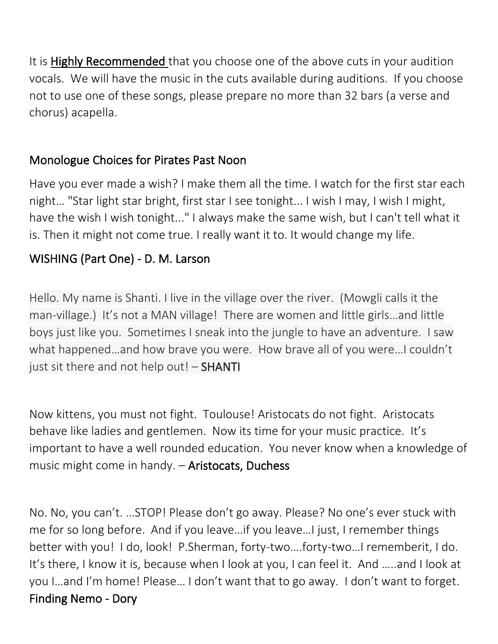It is Highly Recommended that you choose one of the above cuts in your audition vocals. We will have the music in the cuts available during auditions. If you choose not to use one of these songs, please prepare no more than 32 bars (a verse and chorus) acapella.

#### Monologue Choices for Pirates Past Noon

Have you ever made a wish? I make them all the time. I watch for the first star each night… "Star light star bright, first star I see tonight... I wish I may, I wish I might, have the wish I wish tonight..." I always make the same wish, but I can't tell what it is. Then it might not come true. I really want it to. It would change my life.

### WISHING (Part One) - D. M. Larson

Hello. My name is Shanti. I live in the village over the river. (Mowgli calls it the man-village.) It's not a MAN village! There are women and little girls…and little boys just like you. Sometimes I sneak into the jungle to have an adventure. I saw what happened…and how brave you were. How brave all of you were…I couldn't just sit there and not help out! - **SHANTI** 

Now kittens, you must not fight. Toulouse! Aristocats do not fight. Aristocats behave like ladies and gentlemen. Now its time for your music practice. It's important to have a well rounded education. You never know when a knowledge of music might come in handy. - Aristocats, Duchess

No. No, you can't. …STOP! Please don't go away. Please? No one's ever stuck with me for so long before. And if you leave…if you leave…I just, I remember things better with you! I do, look! P.Sherman, forty-two….forty-two…I rememberit, I do. It's there, I know it is, because when I look at you, I can feel it. And …..and I look at you I…and I'm home! Please… I don't want that to go away. I don't want to forget. Finding Nemo - Dory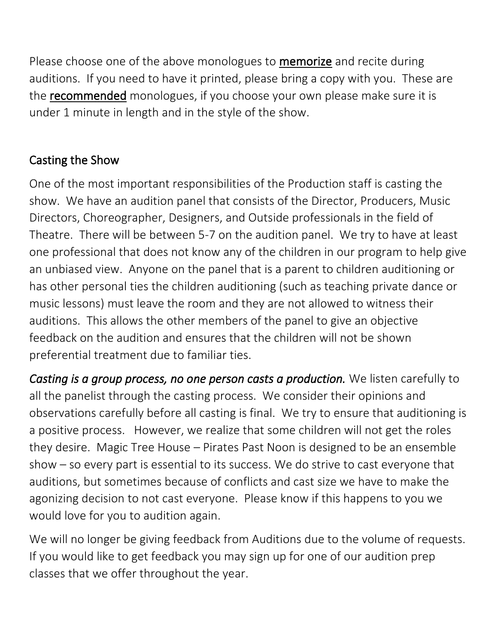Please choose one of the above monologues to **memorize** and recite during auditions. If you need to have it printed, please bring a copy with you. These are the recommended monologues, if you choose your own please make sure it is under 1 minute in length and in the style of the show.

### Casting the Show

One of the most important responsibilities of the Production staff is casting the show. We have an audition panel that consists of the Director, Producers, Music Directors, Choreographer, Designers, and Outside professionals in the field of Theatre. There will be between 5-7 on the audition panel. We try to have at least one professional that does not know any of the children in our program to help give an unbiased view. Anyone on the panel that is a parent to children auditioning or has other personal ties the children auditioning (such as teaching private dance or music lessons) must leave the room and they are not allowed to witness their auditions. This allows the other members of the panel to give an objective feedback on the audition and ensures that the children will not be shown preferential treatment due to familiar ties.

*Casting is a group process, no one person casts a production.* We listen carefully to all the panelist through the casting process. We consider their opinions and observations carefully before all casting is final. We try to ensure that auditioning is a positive process. However, we realize that some children will not get the roles they desire. Magic Tree House – Pirates Past Noon is designed to be an ensemble show – so every part is essential to its success. We do strive to cast everyone that auditions, but sometimes because of conflicts and cast size we have to make the agonizing decision to not cast everyone. Please know if this happens to you we would love for you to audition again.

We will no longer be giving feedback from Auditions due to the volume of requests. If you would like to get feedback you may sign up for one of our audition prep classes that we offer throughout the year.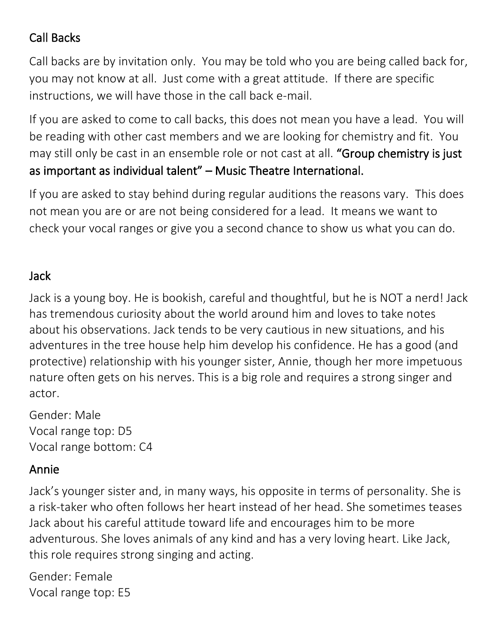### Call Backs

Call backs are by invitation only. You may be told who you are being called back for, you may not know at all. Just come with a great attitude. If there are specific instructions, we will have those in the call back e-mail.

If you are asked to come to call backs, this does not mean you have a lead. You will be reading with other cast members and we are looking for chemistry and fit. You may still only be cast in an ensemble role or not cast at all. "Group chemistry is just as important as individual talent" – Music Theatre International.

If you are asked to stay behind during regular auditions the reasons vary. This does not mean you are or are not being considered for a lead. It means we want to check your vocal ranges or give you a second chance to show us what you can do.

#### Jack

Jack is a young boy. He is bookish, careful and thoughtful, but he is NOT a nerd! Jack has tremendous curiosity about the world around him and loves to take notes about his observations. Jack tends to be very cautious in new situations, and his adventures in the tree house help him develop his confidence. He has a good (and protective) relationship with his younger sister, Annie, though her more impetuous nature often gets on his nerves. This is a big role and requires a strong singer and actor.

Gender: Male Vocal range top: D5 Vocal range bottom: C4

#### Annie

Jack's younger sister and, in many ways, his opposite in terms of personality. She is a risk-taker who often follows her heart instead of her head. She sometimes teases Jack about his careful attitude toward life and encourages him to be more adventurous. She loves animals of any kind and has a very loving heart. Like Jack, this role requires strong singing and acting.

Gender: Female Vocal range top: E5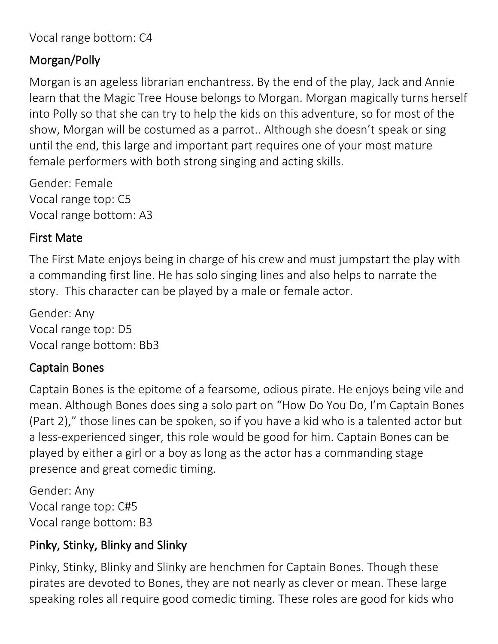Vocal range bottom: C4

#### Morgan/Polly

Morgan is an ageless librarian enchantress. By the end of the play, Jack and Annie learn that the Magic Tree House belongs to Morgan. Morgan magically turns herself into Polly so that she can try to help the kids on this adventure, so for most of the show, Morgan will be costumed as a parrot.. Although she doesn't speak or sing until the end, this large and important part requires one of your most mature female performers with both strong singing and acting skills.

Gender: Female Vocal range top: C5 Vocal range bottom: A3

#### First Mate

The First Mate enjoys being in charge of his crew and must jumpstart the play with a commanding first line. He has solo singing lines and also helps to narrate the story. This character can be played by a male or female actor.

Gender: Any Vocal range top: D5 Vocal range bottom: Bb3

#### Captain Bones

Captain Bones is the epitome of a fearsome, odious pirate. He enjoys being vile and mean. Although Bones does sing a solo part on "How Do You Do, I'm Captain Bones (Part 2)," those lines can be spoken, so if you have a kid who is a talented actor but a less-experienced singer, this role would be good for him. Captain Bones can be played by either a girl or a boy as long as the actor has a commanding stage presence and great comedic timing.

Gender: Any Vocal range top: C#5 Vocal range bottom: B3

### Pinky, Stinky, Blinky and Slinky

Pinky, Stinky, Blinky and Slinky are henchmen for Captain Bones. Though these pirates are devoted to Bones, they are not nearly as clever or mean. These large speaking roles all require good comedic timing. These roles are good for kids who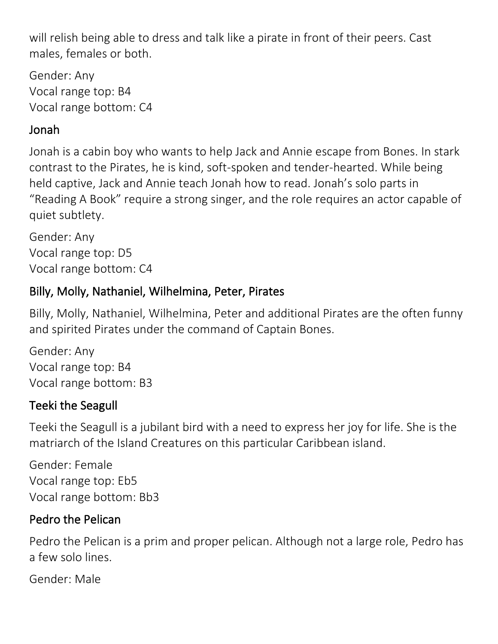will relish being able to dress and talk like a pirate in front of their peers. Cast males, females or both.

Gender: Any Vocal range top: B4 Vocal range bottom: C4

### Jonah

Jonah is a cabin boy who wants to help Jack and Annie escape from Bones. In stark contrast to the Pirates, he is kind, soft-spoken and tender-hearted. While being held captive, Jack and Annie teach Jonah how to read. Jonah's solo parts in "Reading A Book" require a strong singer, and the role requires an actor capable of quiet subtlety.

Gender: Any Vocal range top: D5 Vocal range bottom: C4

### Billy, Molly, Nathaniel, Wilhelmina, Peter, Pirates

Billy, Molly, Nathaniel, Wilhelmina, Peter and additional Pirates are the often funny and spirited Pirates under the command of Captain Bones.

Gender: Any Vocal range top: B4 Vocal range bottom: B3

### Teeki the Seagull

Teeki the Seagull is a jubilant bird with a need to express her joy for life. She is the matriarch of the Island Creatures on this particular Caribbean island.

Gender: Female Vocal range top: Eb5 Vocal range bottom: Bb3

### Pedro the Pelican

Pedro the Pelican is a prim and proper pelican. Although not a large role, Pedro has a few solo lines.

Gender: Male